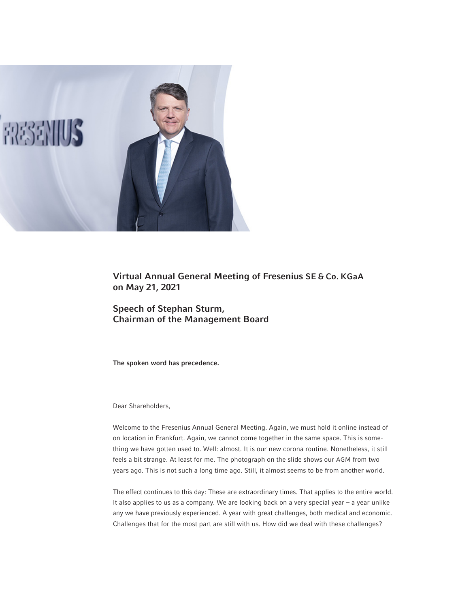

Virtual Annual General Meeting of Fresenius SE & Co. KGaA on May 21, 2021

Speech of Stephan Sturm, Chairman of the Management Board

The spoken word has precedence.

Dear Shareholders,

Welcome to the Fresenius Annual General Meeting. Again, we must hold it online instead of on location in Frankfurt. Again, we cannot come together in the same space. This is something we have gotten used to. Well: almost. It is our new corona routine. Nonetheless, it still feels a bit strange. At least for me. The photograph on the slide shows our AGM from two years ago. This is not such a long time ago. Still, it almost seems to be from another world.

The effect continues to this day: These are extraordinary times. That applies to the entire world. It also applies to us as a company. We are looking back on a very special year – a year unlike any we have previously experienced. A year with great challenges, both medical and economic. Challenges that for the most part are still with us. How did we deal with these challenges?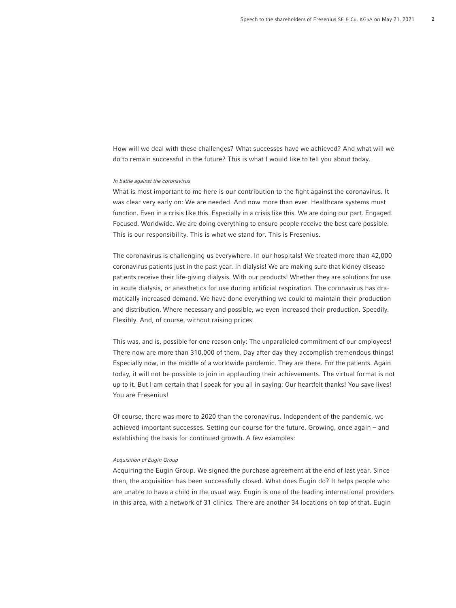How will we deal with these challenges? What successes have we achieved? And what will we do to remain successful in the future? This is what I would like to tell you about today.

## In battle against the coronavirus

What is most important to me here is our contribution to the fight against the coronavirus. It was clear very early on: We are needed. And now more than ever. Healthcare systems must function. Even in a crisis like this. Especially in a crisis like this. We are doing our part. Engaged. Focused. Worldwide. We are doing everything to ensure people receive the best care possible. This is our responsibility. This is what we stand for. This is Fresenius.

The coronavirus is challenging us everywhere. In our hospitals! We treated more than 42,000 coronavirus patients just in the past year. In dialysis! We are making sure that kidney disease patients receive their life-giving dialysis. With our products! Whether they are solutions for use in acute dialysis, or anesthetics for use during artificial respiration. The coronavirus has dramatically increased demand. We have done everything we could to maintain their production and distribution. Where necessary and possible, we even increased their production. Speedily. Flexibly. And, of course, without raising prices.

This was, and is, possible for one reason only: The unparalleled commitment of our employees! There now are more than 310,000 of them. Day after day they accomplish tremendous things! Especially now, in the middle of a worldwide pandemic. They are there. For the patients. Again today, it will not be possible to join in applauding their achievements. The virtual format is not up to it. But I am certain that I speak for you all in saying: Our heartfelt thanks! You save lives! You are Fresenius!

Of course, there was more to 2020 than the coronavirus. Independent of the pandemic, we achieved important successes. Setting our course for the future. Growing, once again – and establishing the basis for continued growth. A few examples:

# Acquisition of Eugin Group

Acquiring the Eugin Group. We signed the purchase agreement at the end of last year. Since then, the acquisition has been successfully closed. What does Eugin do? It helps people who are unable to have a child in the usual way. Eugin is one of the leading international providers in this area, with a network of 31 clinics. There are another 34 locations on top of that. Eugin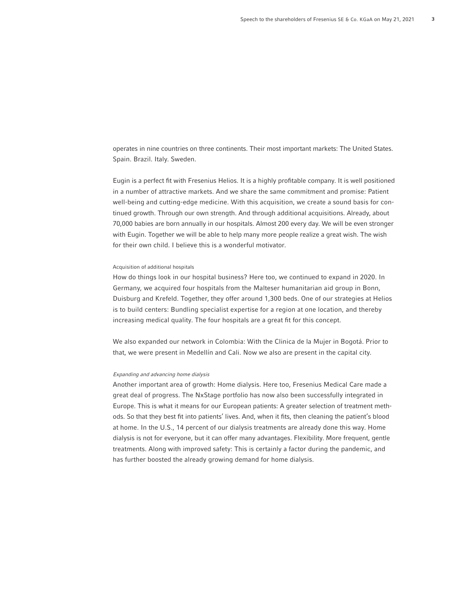operates in nine countries on three continents. Their most important markets: The United States. Spain. Brazil. Italy. Sweden.

Eugin is a perfect fit with Fresenius Helios. It is a highly profitable company. It is well positioned in a number of attractive markets. And we share the same commitment and promise: Patient well-being and cutting-edge medicine. With this acquisition, we create a sound basis for continued growth. Through our own strength. And through additional acquisitions. Already, about 70,000 babies are born annually in our hospitals. Almost 200 every day. We will be even stronger with Eugin. Together we will be able to help many more people realize a great wish. The wish for their own child. I believe this is a wonderful motivator.

## Acquisition of additional hospitals

How do things look in our hospital business? Here too, we continued to expand in 2020. In Germany, we acquired four hospitals from the Malteser humanitarian aid group in Bonn, Duisburg and Krefeld. Together, they offer around 1,300 beds. One of our strategies at Helios is to build centers: Bundling specialist expertise for a region at one location, and thereby increasing medical quality. The four hospitals are a great fit for this concept.

We also expanded our network in Colombia: With the Clinica de la Mujer in Bogotá. Prior to that, we were present in Medellín and Cali. Now we also are present in the capital city.

# Expanding and advancing home dialysis

Another important area of growth: Home dialysis. Here too, Fresenius Medical Care made a great deal of progress. The NxStage portfolio has now also been successfully integrated in Europe. This is what it means for our European patients: A greater selection of treatment methods. So that they best fit into patients' lives. And, when it fits, then cleaning the patient's blood at home. In the U.S., 14 percent of our dialysis treatments are already done this way. Home dialysis is not for everyone, but it can offer many advantages. Flexibility. More frequent, gentle treatments. Along with improved safety: This is certainly a factor during the pandemic, and has further boosted the already growing demand for home dialysis.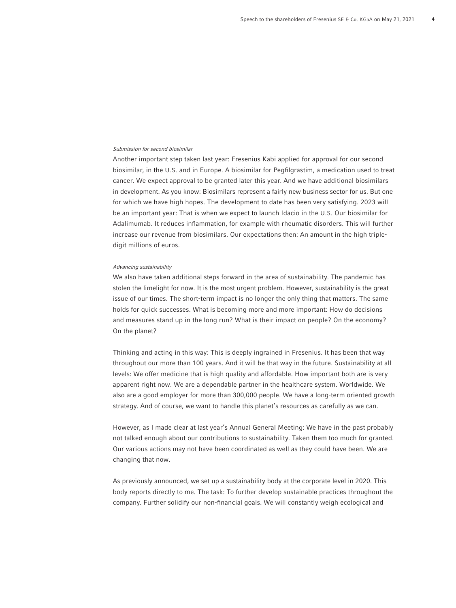#### Submission for second biosimilar

Another important step taken last year: Fresenius Kabi applied for approval for our second biosimilar, in the U.S. and in Europe. A biosimilar for Pegfilgrastim, a medication used to treat cancer. We expect approval to be granted later this year. And we have additional biosimilars in development. As you know: Biosimilars represent a fairly new business sector for us. But one for which we have high hopes. The development to date has been very satisfying. 2023 will be an important year: That is when we expect to launch Idacio in the U.S. Our biosimilar for Adalimumab. It reduces inflammation, for example with rheumatic disorders. This will further increase our revenue from biosimilars. Our expectations then: An amount in the high tripledigit millions of euros.

#### Advancing sustainability

We also have taken additional steps forward in the area of sustainability. The pandemic has stolen the limelight for now. It is the most urgent problem. However, sustainability is the great issue of our times. The short-term impact is no longer the only thing that matters. The same holds for quick successes. What is becoming more and more important: How do decisions and measures stand up in the long run? What is their impact on people? On the economy? On the planet?

Thinking and acting in this way: This is deeply ingrained in Fresenius. It has been that way throughout our more than 100 years. And it will be that way in the future. Sustainability at all levels: We offer medicine that is high quality and affordable. How important both are is very apparent right now. We are a dependable partner in the healthcare system. Worldwide. We also are a good employer for more than 300,000 people. We have a long-term oriented growth strategy. And of course, we want to handle this planet's resources as carefully as we can.

However, as I made clear at last year's Annual General Meeting: We have in the past probably not talked enough about our contributions to sustainability. Taken them too much for granted. Our various actions may not have been coordinated as well as they could have been. We are changing that now.

As previously announced, we set up a sustainability body at the corporate level in 2020. This body reports directly to me. The task: To further develop sustainable practices throughout the company. Further solidify our non-financial goals. We will constantly weigh ecological and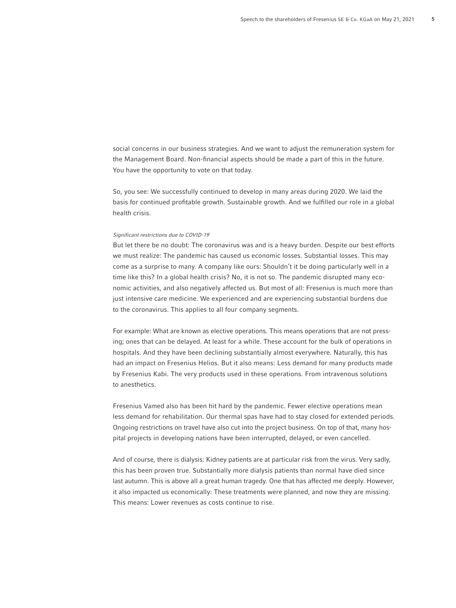social concerns in our business strategies. And we want to adjust the remuneration system for the Management Board. Non-financial aspects should be made a part of this in the future. You have the opportunity to vote on that today.

So, you see: We successfully continued to develop in many areas during 2020. We laid the basis for continued profitable growth. Sustainable growth. And we fulfilled our role in a global health crisis.

#### Significant restrictions due to COVID-19

But let there be no doubt: The coronavirus was and is a heavy burden. Despite our best efforts we must realize: The pandemic has caused us economic losses. Substantial losses. This may come as a surprise to many. A company like ours: Shouldn't it be doing particularly well in a time like this? In a global health crisis? No, it is not so. The pandemic disrupted many economic activities, and also negatively affected us. But most of all: Fresenius is much more than just intensive care medicine. We experienced and are experiencing substantial burdens due to the coronavirus. This applies to all four company segments.

For example: What are known as elective operations. This means operations that are not pressing; ones that can be delayed. At least for a while. These account for the bulk of operations in hospitals. And they have been declining substantially almost everywhere. Naturally, this has had an impact on Fresenius Helios. But it also means: Less demand for many products made by Fresenius Kabi. The very products used in these operations. From intravenous solutions to anesthetics.

Fresenius Vamed also has been hit hard by the pandemic. Fewer elective operations mean less demand for rehabilitation. Our thermal spas have had to stay closed for extended periods. Ongoing restrictions on travel have also cut into the project business. On top of that, many hospital projects in developing nations have been interrupted, delayed, or even cancelled.

And of course, there is dialysis: Kidney patients are at particular risk from the virus. Very sadly, this has been proven true. Substantially more dialysis patients than normal have died since last autumn. This is above all a great human tragedy. One that has affected me deeply. However, it also impacted us economically: These treatments were planned, and now they are missing. This means: Lower revenues as costs continue to rise.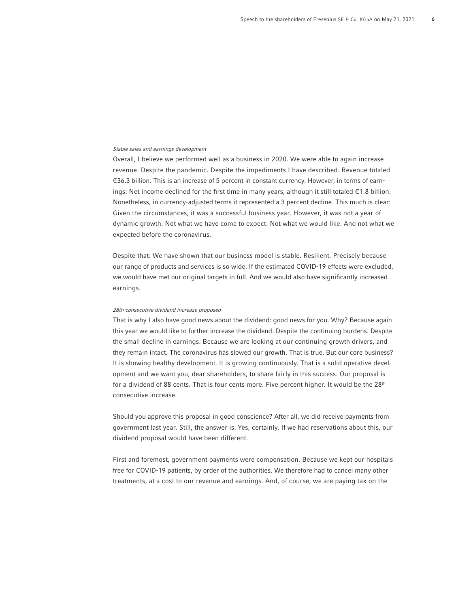#### Stable sales and earnings development

Overall, I believe we performed well as a business in 2020. We were able to again increase revenue. Despite the pandemic. Despite the impediments I have described. Revenue totaled €36.3 billion. This is an increase of 5 percent in constant currency. However, in terms of earnings: Net income declined for the first time in many years, although it still totaled €1.8 billion. Nonetheless, in currency-adjusted terms it represented a 3 percent decline. This much is clear: Given the circumstances, it was a successful business year. However, it was not a year of dynamic growth. Not what we have come to expect. Not what we would like. And not what we expected before the coronavirus.

Despite that: We have shown that our business model is stable. Resilient. Precisely because our range of products and services is so wide. If the estimated COVID-19 effects were excluded, we would have met our original targets in full. And we would also have significantly increased earnings.

## 28th consecutive dividend increase proposed

That is why I also have good news about the dividend: good news for you. Why? Because again this year we would like to further increase the dividend. Despite the continuing burdens. Despite the small decline in earnings. Because we are looking at our continuing growth drivers, and they remain intact. The coronavirus has slowed our growth. That is true. But our core business? It is showing healthy development. It is growing continuously. That is a solid operative development and we want you, dear shareholders, to share fairly in this success. Our proposal is for a dividend of 88 cents. That is four cents more. Five percent higher. It would be the  $28<sup>th</sup>$ consecutive increase.

Should you approve this proposal in good conscience? After all, we did receive payments from government last year. Still, the answer is: Yes, certainly. If we had reservations about this, our dividend proposal would have been different.

First and foremost, government payments were compensation. Because we kept our hospitals free for COVID-19 patients, by order of the authorities. We therefore had to cancel many other treatments, at a cost to our revenue and earnings. And, of course, we are paying tax on the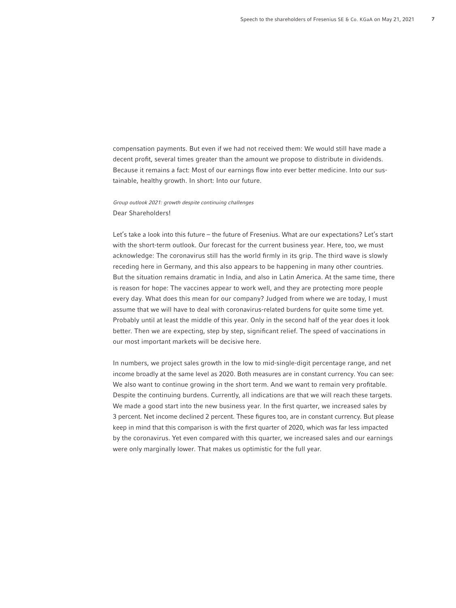compensation payments. But even if we had not received them: We would still have made a decent profit, several times greater than the amount we propose to distribute in dividends. Because it remains a fact: Most of our earnings flow into ever better medicine. Into our sustainable, healthy growth. In short: Into our future.

Group outlook 2021: growth despite continuing challenges Dear Shareholders!

Let's take a look into this future – the future of Fresenius. What are our expectations? Let's start with the short-term outlook. Our forecast for the current business year. Here, too, we must acknowledge: The coronavirus still has the world firmly in its grip. The third wave is slowly receding here in Germany, and this also appears to be happening in many other countries. But the situation remains dramatic in India, and also in Latin America. At the same time, there is reason for hope: The vaccines appear to work well, and they are protecting more people every day. What does this mean for our company? Judged from where we are today, I must assume that we will have to deal with coronavirus-related burdens for quite some time yet. Probably until at least the middle of this year. Only in the second half of the year does it look better. Then we are expecting, step by step, significant relief. The speed of vaccinations in our most important markets will be decisive here.

In numbers, we project sales growth in the low to mid-single-digit percentage range, and net income broadly at the same level as 2020. Both measures are in constant currency. You can see: We also want to continue growing in the short term. And we want to remain very profitable. Despite the continuing burdens. Currently, all indications are that we will reach these targets. We made a good start into the new business year. In the first quarter, we increased sales by 3 percent. Net income declined 2 percent. These figures too, are in constant currency. But please keep in mind that this comparison is with the first quarter of 2020, which was far less impacted by the coronavirus. Yet even compared with this quarter, we increased sales and our earnings were only marginally lower. That makes us optimistic for the full year.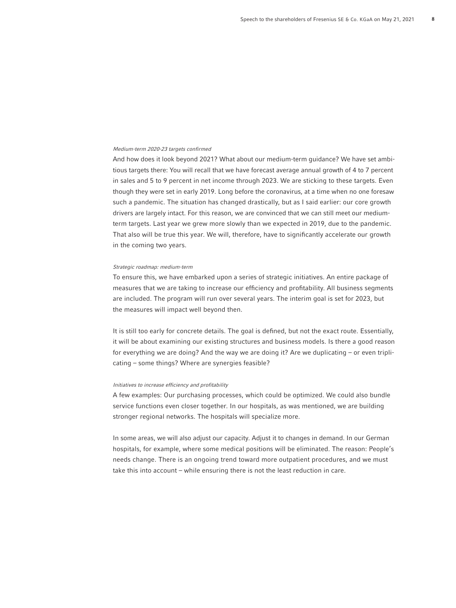#### Medium-term 2020-23 targets confirmed

And how does it look beyond 2021? What about our medium-term guidance? We have set ambitious targets there: You will recall that we have forecast average annual growth of 4 to 7 percent in sales and 5 to 9 percent in net income through 2023. We are sticking to these targets. Even though they were set in early 2019. Long before the coronavirus, at a time when no one foresaw such a pandemic. The situation has changed drastically, but as I said earlier: our core growth drivers are largely intact. For this reason, we are convinced that we can still meet our mediumterm targets. Last year we grew more slowly than we expected in 2019, due to the pandemic. That also will be true this year. We will, therefore, have to significantly accelerate our growth in the coming two years.

### Strategic roadmap: medium-term

To ensure this, we have embarked upon a series of strategic initiatives. An entire package of measures that we are taking to increase our efficiency and profitability. All business segments are included. The program will run over several years. The interim goal is set for 2023, but the measures will impact well beyond then.

It is still too early for concrete details. The goal is defined, but not the exact route. Essentially, it will be about examining our existing structures and business models. Is there a good reason for everything we are doing? And the way we are doing it? Are we duplicating – or even triplicating – some things? Where are synergies feasible?

# Initiatives to increase efficiency and profitability

A few examples: Our purchasing processes, which could be optimized. We could also bundle service functions even closer together. In our hospitals, as was mentioned, we are building stronger regional networks. The hospitals will specialize more.

In some areas, we will also adjust our capacity. Adjust it to changes in demand. In our German hospitals, for example, where some medical positions will be eliminated. The reason: People's needs change. There is an ongoing trend toward more outpatient procedures, and we must take this into account – while ensuring there is not the least reduction in care.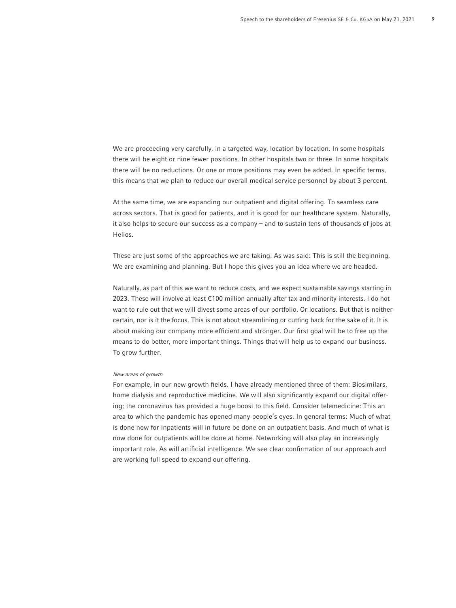We are proceeding very carefully, in a targeted way, location by location. In some hospitals there will be eight or nine fewer positions. In other hospitals two or three. In some hospitals there will be no reductions. Or one or more positions may even be added. In specific terms, this means that we plan to reduce our overall medical service personnel by about 3 percent.

At the same time, we are expanding our outpatient and digital offering. To seamless care across sectors. That is good for patients, and it is good for our healthcare system. Naturally, it also helps to secure our success as a company – and to sustain tens of thousands of jobs at Helios.

These are just some of the approaches we are taking. As was said: This is still the beginning. We are examining and planning. But I hope this gives you an idea where we are headed.

Naturally, as part of this we want to reduce costs, and we expect sustainable savings starting in 2023. These will involve at least €100 million annually after tax and minority interests. I do not want to rule out that we will divest some areas of our portfolio. Or locations. But that is neither certain, nor is it the focus. This is not about streamlining or cutting back for the sake of it. It is about making our company more efficient and stronger. Our first goal will be to free up the means to do better, more important things. Things that will help us to expand our business. To grow further.

## New areas of growth

For example, in our new growth fields. I have already mentioned three of them: Biosimilars, home dialysis and reproductive medicine. We will also significantly expand our digital offering; the coronavirus has provided a huge boost to this field. Consider telemedicine: This an area to which the pandemic has opened many people's eyes. In general terms: Much of what is done now for inpatients will in future be done on an outpatient basis. And much of what is now done for outpatients will be done at home. Networking will also play an increasingly important role. As will artificial intelligence. We see clear confirmation of our approach and are working full speed to expand our offering.